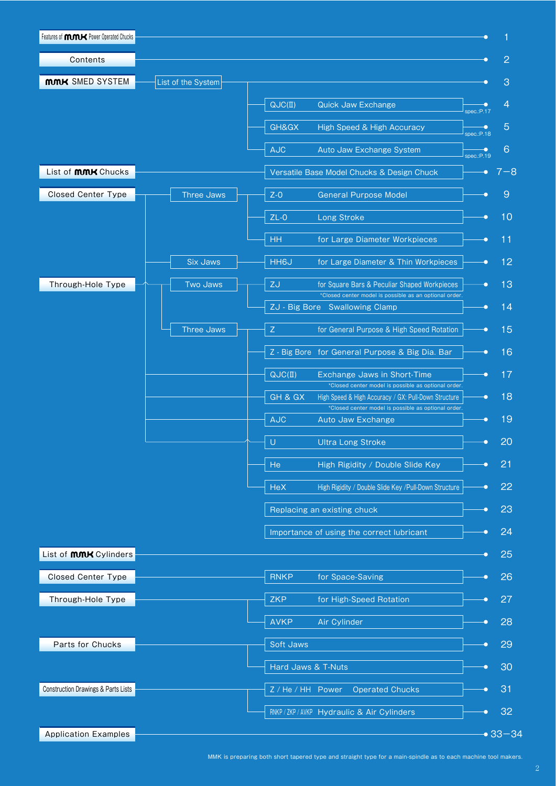| Features of <b>MMK</b> Power Operated Chucks |                    |                                                                                                                        |                      |
|----------------------------------------------|--------------------|------------------------------------------------------------------------------------------------------------------------|----------------------|
| Contents                                     |                    |                                                                                                                        | 2                    |
| <b>MMK SMED SYSTEM</b>                       | List of the System |                                                                                                                        | 3                    |
|                                              |                    | QUC(II)<br>Quick Jaw Exchange                                                                                          | 4                    |
|                                              |                    | GH&GX<br>High Speed & High Accuracy                                                                                    | spec.:P.17<br>5<br>Ð |
|                                              |                    | AUC<br>Auto Jaw Exchange System                                                                                        | spec.:P.18<br>6<br>Ð |
|                                              |                    |                                                                                                                        | spec.P.19            |
| List of <b>MMK</b> Chucks                    |                    | Versatile Base Model Chucks & Design Chuck                                                                             | $7 - 8$              |
| <b>Closed Center Type</b>                    | <b>Three Jaws</b>  | $Z-0$<br><b>General Purpose Model</b>                                                                                  | $\overline{9}$       |
|                                              |                    | $ZL-0$<br>Long Stroke                                                                                                  | 10                   |
|                                              |                    | <b>HH</b><br>for Large Diameter Workpieces                                                                             | 11                   |
|                                              | <b>Six Jaws</b>    | <b>HH6J</b><br>for Large Diameter & Thin Workpieces                                                                    | 12                   |
| Through-Hole Type                            | <b>Two Jaws</b>    | ZJ<br>for Square Bars & Peculiar Shaped Workpieces                                                                     | 13                   |
|                                              |                    | *Closed center model is possible as an optional order.<br>ZJ - Big Bore Swallowing Clamp                               | 14                   |
|                                              | <b>Three Jaws</b>  | $\mathsf Z$<br>for General Purpose & High Speed Rotation                                                               | 15                   |
|                                              |                    |                                                                                                                        |                      |
|                                              |                    | Z - Big Bore for General Purpose & Big Dia. Bar                                                                        | 16                   |
|                                              |                    | QJC(II)<br>Exchange Jaws in Short-Time<br>*Closed center model is possible as optional order.                          | 17                   |
|                                              |                    | GH & GX<br>High Speed & High Accuracy / GX: Pull-Down Structure<br>*Closed center model is possible as optional order. | 18                   |
|                                              |                    | <b>AJC</b><br>Auto Jaw Exchange                                                                                        | 19                   |
|                                              |                    | $\cup$<br><b>Ultra Long Stroke</b>                                                                                     | 20<br>c              |
|                                              |                    | He<br>High Rigidity / Double Slide Key                                                                                 | 21                   |
|                                              |                    | HeX<br>High Rigidity / Double Slide Key /Pull-Down Structure                                                           | 22                   |
|                                              |                    |                                                                                                                        |                      |
|                                              |                    | Replacing an existing chuck                                                                                            | 23<br>с              |
|                                              |                    | Importance of using the correct lubricant                                                                              | 24                   |
| List of <b>MMK</b> Cylinders                 |                    |                                                                                                                        | 25                   |
| <b>Closed Center Type</b>                    |                    | <b>RNKP</b><br>for Space-Saving                                                                                        | 26                   |
| Through-Hole Type                            |                    | <b>ZKP</b><br>for High-Speed Rotation                                                                                  | 27                   |
|                                              |                    | <b>AVKP</b><br>Air Cylinder                                                                                            | 28                   |
| Parts for Chucks                             |                    | Soft Jaws                                                                                                              | 29                   |
|                                              |                    |                                                                                                                        |                      |
|                                              |                    | Hard Jaws & T-Nuts                                                                                                     | 30                   |
| Construction Drawings & Parts Lists          |                    | Z / He / HH Power<br><b>Operated Chucks</b>                                                                            | 31                   |
|                                              |                    | RNKP/ZKP/AVKP Hydraulic & Air Cylinders                                                                                | 32                   |
| <b>Application Examples</b>                  |                    |                                                                                                                        | $•33 - 34$           |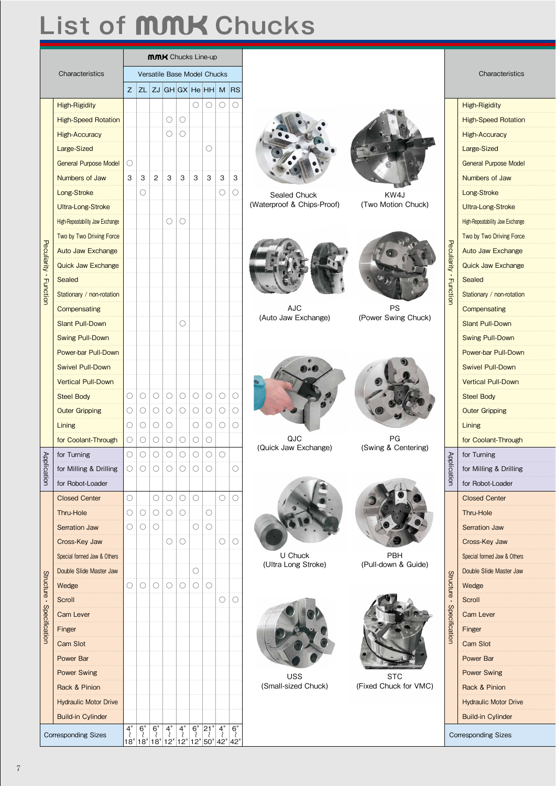## List of **MMK** Chucks

|                           |                                 | <b>MMK</b> Chucks Line-up                                 |                       |                |                                                         |                       |                     |                                                                                                                                                                                                                 |                                |  |                            |                 |                                 |
|---------------------------|---------------------------------|-----------------------------------------------------------|-----------------------|----------------|---------------------------------------------------------|-----------------------|---------------------|-----------------------------------------------------------------------------------------------------------------------------------------------------------------------------------------------------------------|--------------------------------|--|----------------------------|-----------------|---------------------------------|
|                           | Characteristics                 | Versatile Base Model Chucks<br>$Z$ ZL ZJ GH GX He HH M RS |                       |                |                                                         |                       |                     |                                                                                                                                                                                                                 | Characteristics                |  |                            |                 |                                 |
|                           |                                 |                                                           |                       |                |                                                         |                       |                     |                                                                                                                                                                                                                 |                                |  |                            |                 |                                 |
|                           | <b>High-Rigidity</b>            |                                                           |                       |                |                                                         |                       |                     | $\circ \circ \circ \circ \circ$                                                                                                                                                                                 |                                |  |                            |                 | <b>High-Rigidity</b>            |
|                           | <b>High-Speed Rotation</b>      |                                                           |                       |                | O<br>O                                                  |                       |                     |                                                                                                                                                                                                                 |                                |  |                            |                 | <b>High-Speed Rotation</b>      |
|                           | <b>High-Accuracy</b>            |                                                           |                       |                | $\circlearrowright$<br>$\circ$                          |                       |                     |                                                                                                                                                                                                                 |                                |  |                            |                 | <b>High-Accuracy</b>            |
|                           | Large-Sized                     |                                                           |                       |                |                                                         |                       | О                   |                                                                                                                                                                                                                 |                                |  |                            |                 | Large-Sized                     |
|                           | <b>General Purpose Model</b>    | 0                                                         |                       |                |                                                         |                       |                     |                                                                                                                                                                                                                 |                                |  |                            |                 | <b>General Purpose Model</b>    |
|                           | Numbers of Jaw                  |                                                           | $3 \mid 3$            | $\overline{2}$ | $\mathbf{3}$<br>3                                       | $\mathbf{3}$          | $\mathbf{3}$        | $\mathbf{3}$<br>3                                                                                                                                                                                               |                                |  |                            |                 | Numbers of Jaw                  |
|                           | Long-Stroke                     |                                                           | O                     |                |                                                         |                       |                     | $\bigcirc$<br>$\circ$                                                                                                                                                                                           | Sealed Chuck                   |  | KW4J                       |                 | Long-Stroke                     |
|                           | Ultra-Long-Stroke               |                                                           |                       |                |                                                         |                       |                     |                                                                                                                                                                                                                 | (Waterproof & Chips-Proof)     |  | (Two Motion Chuck)         |                 | Ultra-Long-Stroke               |
|                           | High-Repeatability Jaw Exchange |                                                           |                       |                | $\circ$<br>$\bigcirc$                                   |                       |                     |                                                                                                                                                                                                                 |                                |  |                            |                 | High-Repeatability Jaw Exchange |
|                           | Two by Two Driving Force        |                                                           |                       |                |                                                         |                       |                     |                                                                                                                                                                                                                 |                                |  |                            | ᠊ᠧ              | Two by Two Driving Force        |
|                           | <b>Auto Jaw Exchange</b>        |                                                           |                       |                |                                                         |                       |                     |                                                                                                                                                                                                                 |                                |  |                            |                 | Auto Jaw Exchange               |
|                           | <b>Quick Jaw Exchange</b>       |                                                           |                       |                |                                                         |                       |                     |                                                                                                                                                                                                                 |                                |  |                            | uliarity        | <b>Quick Jaw Exchange</b>       |
| Peculiarity · Function    | Sealed                          |                                                           |                       |                |                                                         |                       |                     |                                                                                                                                                                                                                 |                                |  |                            |                 | Sealed                          |
|                           | Stationary / non-rotation       |                                                           |                       |                |                                                         |                       |                     |                                                                                                                                                                                                                 |                                |  |                            | <b>Function</b> | Stationary / non-rotation       |
|                           | Compensating                    |                                                           |                       |                |                                                         |                       |                     |                                                                                                                                                                                                                 | AJC<br>(Auto Jaw Exchange)     |  | PS<br>(Power Swing Chuck)  |                 | Compensating                    |
|                           | <b>Slant Pull-Down</b>          |                                                           |                       |                | C                                                       |                       |                     |                                                                                                                                                                                                                 |                                |  |                            |                 | <b>Slant Pull-Down</b>          |
|                           | <b>Swing Pull-Down</b>          |                                                           |                       |                |                                                         |                       |                     |                                                                                                                                                                                                                 |                                |  |                            |                 | <b>Swing Pull-Down</b>          |
|                           | Power-bar Pull-Down             |                                                           |                       |                |                                                         |                       |                     |                                                                                                                                                                                                                 |                                |  |                            |                 | Power-bar Pull-Down             |
|                           | <b>Swivel Pull-Down</b>         |                                                           |                       |                |                                                         |                       |                     |                                                                                                                                                                                                                 |                                |  |                            |                 | <b>Swivel Pull-Down</b>         |
|                           | <b>Vertical Pull-Down</b>       |                                                           |                       |                |                                                         |                       |                     |                                                                                                                                                                                                                 |                                |  |                            |                 | <b>Vertical Pull-Down</b>       |
|                           | <b>Steel Body</b>               | $\circ$                                                   | $\circ$               | $\bigcirc$     | $\circ$<br>$\circ$                                      | $\circ$               | $\bigcirc$          | $\bigcirc$<br>O                                                                                                                                                                                                 |                                |  |                            |                 | <b>Steel Body</b>               |
|                           | <b>Outer Gripping</b>           | $\circ$                                                   | $\circ$               | $\circ$        | $\circ$<br>$\circ$                                      | $\circ$               | $\circ$             | $\circ$<br>$\bigcirc$                                                                                                                                                                                           |                                |  |                            |                 | <b>Outer Gripping</b>           |
|                           | Lining                          |                                                           | O O                   | $\circ$        | $\circ$                                                 | $\circ$               |                     | $\circ$ $\circ$<br>$\bigcirc$                                                                                                                                                                                   |                                |  |                            |                 | Lining                          |
|                           | for Coolant-Through             |                                                           |                       |                | $\circ \circ \circ \circ \circ \circ \circ \circ \circ$ |                       |                     |                                                                                                                                                                                                                 | QJC<br>(Quick Jaw Exchange)    |  | PG<br>(Swing & Centering)  |                 | for Coolant-Through             |
| Appli                     | for Turning                     |                                                           |                       |                | 0 0 0 0 0 0 0 0                                         |                       |                     |                                                                                                                                                                                                                 |                                |  |                            | Appl            | for Turning                     |
| ication                   | for Milling & Drilling          | $\circ$                                                   | $\bigcirc$            | $\bigcirc$     | $\bigcirc$                                              | $\circ$<br>$\bigcirc$ |                     | O                                                                                                                                                                                                               |                                |  |                            | ication         | for Milling & Drilling          |
|                           | for Robot-Loader                |                                                           |                       |                |                                                         |                       |                     |                                                                                                                                                                                                                 |                                |  |                            |                 | for Robot-Loader                |
|                           | <b>Closed Center</b>            | $\bigcirc$                                                |                       | $\bigcirc$     | $\circ$<br>$\circ$                                      | $\circ$               |                     | $\bigcirc$<br>$\bigcirc$                                                                                                                                                                                        |                                |  |                            |                 | <b>Closed Center</b>            |
|                           | Thru-Hole                       |                                                           | $\circ$   $\circ$     | $\bigcirc$     | О<br>$\circ$                                            |                       | $\circ$             |                                                                                                                                                                                                                 |                                |  |                            |                 | Thru-Hole                       |
|                           | Serration Jaw                   |                                                           | $\bigcirc$ $\bigcirc$ | O              |                                                         | O                     | $\circlearrowright$ |                                                                                                                                                                                                                 |                                |  |                            |                 | Serration Jaw                   |
|                           | Cross-Key Jaw                   |                                                           |                       |                | O<br>O                                                  |                       |                     | $\circ$<br>O                                                                                                                                                                                                    |                                |  |                            |                 | Cross-Key Jaw                   |
|                           | Special formed Jaw & Others     |                                                           |                       |                |                                                         |                       |                     |                                                                                                                                                                                                                 | U Chuck<br>(Ultra Long Stroke) |  | PBH<br>(Pull-down & Guide) |                 | Special formed Jaw & Others     |
|                           | Double Slide Master Jaw         |                                                           |                       |                |                                                         | О                     |                     |                                                                                                                                                                                                                 |                                |  |                            |                 | Double Slide Master Jaw         |
|                           | Wedge                           |                                                           | $\circ$ $\circ$       | $\bigcirc$     | $\circ$<br>$\bigcirc$                                   | $\circ$               | $\circ$             |                                                                                                                                                                                                                 |                                |  |                            | Structure       | Wedge                           |
| Structure · Specification | Scroll                          |                                                           |                       |                |                                                         |                       |                     | $\bigcirc$<br>$\cup$                                                                                                                                                                                            |                                |  |                            |                 | Scroll                          |
|                           | Cam Lever                       |                                                           |                       |                |                                                         |                       |                     |                                                                                                                                                                                                                 |                                |  |                            | Specification   | Cam Lever                       |
|                           | Finger                          |                                                           |                       |                |                                                         |                       |                     |                                                                                                                                                                                                                 |                                |  |                            |                 | Finger                          |
|                           | Cam Slot                        |                                                           |                       |                |                                                         |                       |                     |                                                                                                                                                                                                                 |                                |  |                            |                 | Cam Slot                        |
|                           | Power Bar                       |                                                           |                       |                |                                                         |                       |                     |                                                                                                                                                                                                                 |                                |  |                            |                 | Power Bar                       |
|                           | <b>Power Swing</b>              |                                                           |                       |                |                                                         |                       |                     |                                                                                                                                                                                                                 | <b>USS</b>                     |  | <b>STC</b>                 |                 | <b>Power Swing</b>              |
|                           | Rack & Pinion                   |                                                           |                       |                |                                                         |                       |                     |                                                                                                                                                                                                                 | (Small-sized Chuck)            |  | (Fixed Chuck for VMC)      |                 | Rack & Pinion                   |
|                           | <b>Hydraulic Motor Drive</b>    |                                                           |                       |                |                                                         |                       |                     |                                                                                                                                                                                                                 |                                |  |                            |                 | <b>Hydraulic Motor Drive</b>    |
|                           | <b>Build-in Cylinder</b>        |                                                           |                       |                |                                                         |                       |                     |                                                                                                                                                                                                                 |                                |  |                            |                 | <b>Build-in Cylinder</b>        |
|                           | <b>Corresponding Sizes</b>      |                                                           |                       |                |                                                         |                       |                     | $\begin{array}{c ccccc} 4" & 6" & 6" & 4" & 4" & 6" & 21" & 4" & 6" \\ \hline \n& \left\{\begin{array}{ccc} 2' & 2' & 2 & 2 & 2 \\ 18' & 18' & 12' & 12' & 12' & 50' & 42' & 42 \end{array}\right. \end{array}$ |                                |  |                            |                 | <b>Corresponding Sizes</b>      |

## KW4J

(Two Motion Chuck)





PS (Power Swing Chuck)



(Quick Jaw Exchange)



PG (Swing & Centering)







PBH (Pull-down & Guide)



**STC** (Fixed Chuck for VMC)

## High-Rigidity High-Speed Rotation High-Accuracy Large-Sized General Purpose Model Numbers of Jaw Long-Stroke Ultra-Long-Stroke High-Repeatability Jaw Exchange Two by Two Driving Force Peculiarity · Function Responsive Pull Corresponding Sizes Revised Stationary / non-rota<br>
Stationary / non-rota<br>
Station Pull-Down<br>
Swing Pull-Down<br>
Power-bar Pull-Down<br>
Power-bar Pull-Down<br>
Vertical Pull-Down<br>
Vertical Pull-Down<br>
Vertical Pull-Auto Jaw Exchange Quick Jaw Exchange Sealed Stationary / non-rotation **Compensating** Slant Pull-Down Swing Pull-Down Power-bar Pull-Down Swivel Pull-Down Vertical Pull-Down Steel Body Outer Gripping Lining for Coolant-Through Application for Turning for Milling & Drilling for Robot-Loader Closed Center Thru-Hole Serration Jaw Cross-Key Jaw Special formed Jaw & Others Double Slide Master Jaw Structure · Specification Wedge **Scroll** Cam Lever Finger Cam Slot Power Bar Power Swing Rack & Pinion Hydraulic Motor Drive Build-in Cylinder **Corresponding Sizes**